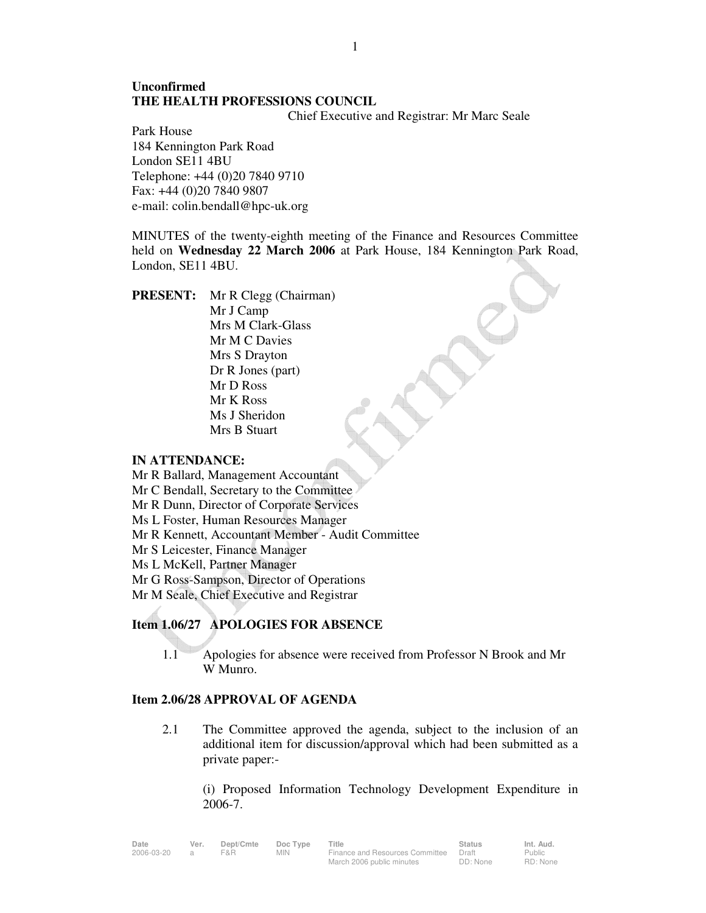# **Unconfirmed THE HEALTH PROFESSIONS COUNCIL**

Chief Executive and Registrar: Mr Marc Seale

Park House 184 Kennington Park Road London SE11 4BU Telephone: +44 (0)20 7840 9710 Fax: +44 (0)20 7840 9807 e-mail: colin.bendall@hpc-uk.org

MINUTES of the twenty-eighth meeting of the Finance and Resources Committee held on **Wednesday 22 March 2006** at Park House, 184 Kennington Park Road, London, SE11 4BU.

**PRESENT:** Mr R Clegg (Chairman) Mr J Camp Mrs M Clark-Glass Mr M C Davies Mrs S Drayton Dr R Jones (part) Mr D Ross Mr K Ross Ms J Sheridon Mrs B Stuart

### **IN ATTENDANCE:**

- Mr R Ballard, Management Accountant
- Mr C Bendall, Secretary to the Committee
- Mr R Dunn, Director of Corporate Services
- Ms L Foster, Human Resources Manager
- Mr R Kennett, Accountant Member Audit Committee
- Mr S Leicester, Finance Manager
- Ms L McKell, Partner Manager
- Mr G Ross-Sampson, Director of Operations
- Mr M Seale, Chief Executive and Registrar

## **Item 1.06/27 APOLOGIES FOR ABSENCE**

1.1 Apologies for absence were received from Professor N Brook and Mr W Munro.

### **Item 2.06/28 APPROVAL OF AGENDA**

 2.1 The Committee approved the agenda, subject to the inclusion of an additional item for discussion/approval which had been submitted as a private paper:-

 (i) Proposed Information Technology Development Expenditure in 2006-7.

| Date       | Ver.           | Dept/Cmte | Doc Type | Title                           | <b>Status</b> | Int. Aud. |
|------------|----------------|-----------|----------|---------------------------------|---------------|-----------|
| 2006-03-20 | $\overline{a}$ | F&R.      | MIN.     | Finance and Resources Committee | Draft         | Public    |
|            |                |           |          | March 2006 public minutes       | DD: None      | RD: None  |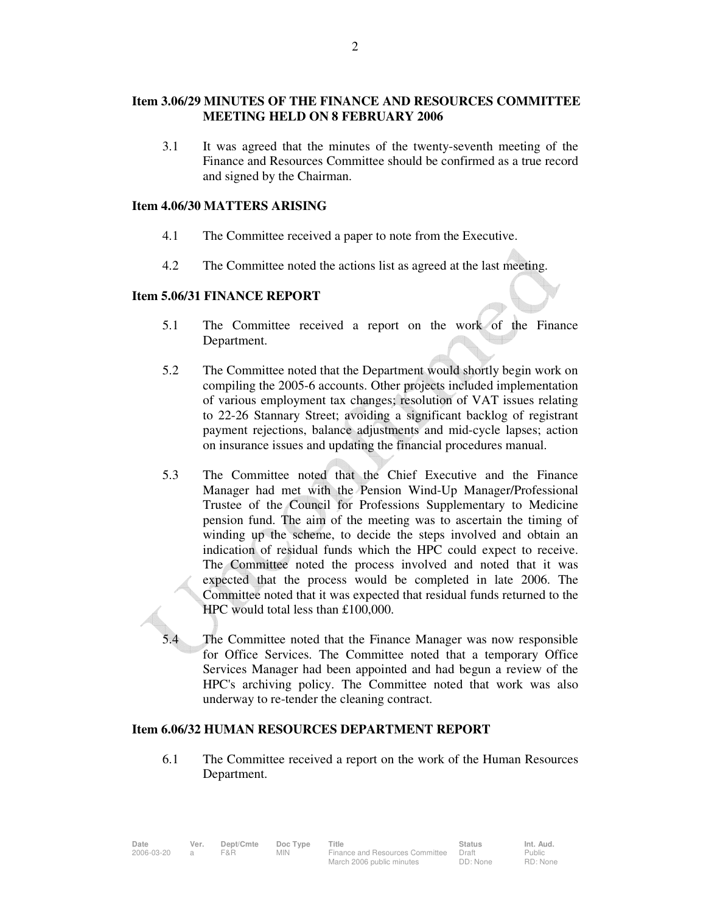## **Item 3.06/29 MINUTES OF THE FINANCE AND RESOURCES COMMITTEE MEETING HELD ON 8 FEBRUARY 2006**

 3.1 It was agreed that the minutes of the twenty-seventh meeting of the Finance and Resources Committee should be confirmed as a true record and signed by the Chairman.

### **Item 4.06/30 MATTERS ARISING**

- 4.1 The Committee received a paper to note from the Executive.
- 4.2 The Committee noted the actions list as agreed at the last meeting.

### **Item 5.06/31 FINANCE REPORT**

- 5.1 The Committee received a report on the work of the Finance Department.
- 5.2 The Committee noted that the Department would shortly begin work on compiling the 2005-6 accounts. Other projects included implementation of various employment tax changes; resolution of VAT issues relating to 22-26 Stannary Street; avoiding a significant backlog of registrant payment rejections, balance adjustments and mid-cycle lapses; action on insurance issues and updating the financial procedures manual.
- 5.3 The Committee noted that the Chief Executive and the Finance Manager had met with the Pension Wind-Up Manager/Professional Trustee of the Council for Professions Supplementary to Medicine pension fund. The aim of the meeting was to ascertain the timing of winding up the scheme, to decide the steps involved and obtain an indication of residual funds which the HPC could expect to receive. The Committee noted the process involved and noted that it was expected that the process would be completed in late 2006. The Committee noted that it was expected that residual funds returned to the HPC would total less than £100,000.
- The Committee noted that the Finance Manager was now responsible for Office Services. The Committee noted that a temporary Office Services Manager had been appointed and had begun a review of the HPC's archiving policy. The Committee noted that work was also underway to re-tender the cleaning contract.

## **Item 6.06/32 HUMAN RESOURCES DEPARTMENT REPORT**

 6.1 The Committee received a report on the work of the Human Resources Department.

| Date       | Ver. | Dept/Cmte | Doc Type | Title                                 | Status   | Int. Aud. |
|------------|------|-----------|----------|---------------------------------------|----------|-----------|
| 2006-03-20 |      | F&R       | MIN.     | Finance and Resources Committee Draft |          | Public    |
|            |      |           |          | March 2006 public minutes             | DD: None | RD: None  |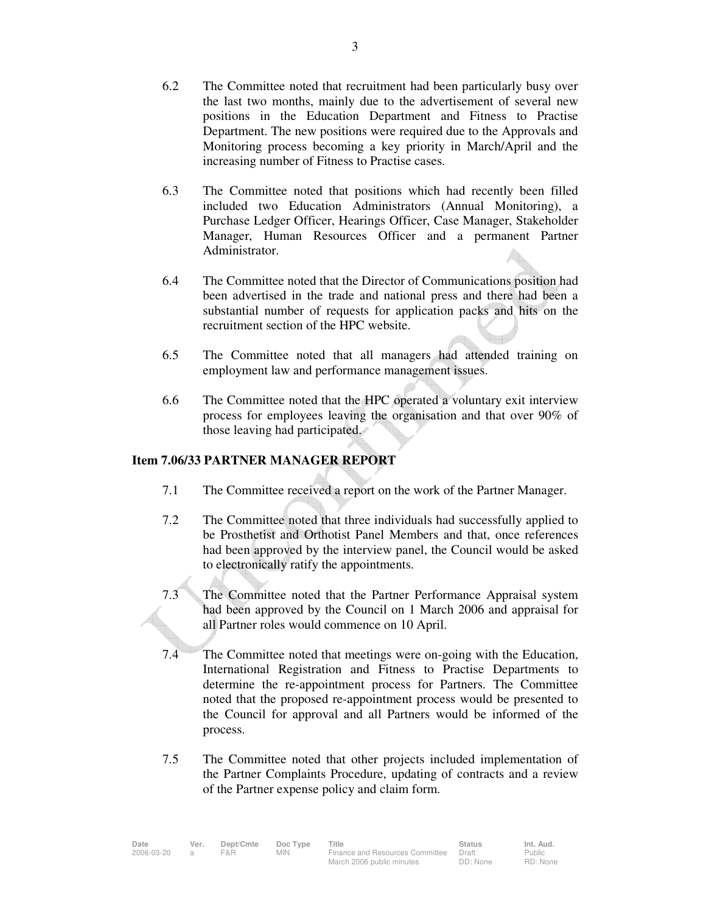- 6.2 The Committee noted that recruitment had been particularly busy over the last two months, mainly due to the advertisement of several new positions in the Education Department and Fitness to Practise Department. The new positions were required due to the Approvals and Monitoring process becoming a key priority in March/April and the increasing number of Fitness to Practise cases.
- 6.3 The Committee noted that positions which had recently been filled included two Education Administrators (Annual Monitoring), a Purchase Ledger Officer, Hearings Officer, Case Manager, Stakeholder Manager, Human Resources Officer and a permanent Partner Administrator.
- 6.4 The Committee noted that the Director of Communications position had been advertised in the trade and national press and there had been a substantial number of requests for application packs and hits on the recruitment section of the HPC website.
- 6.5 The Committee noted that all managers had attended training on employment law and performance management issues.
- 6.6 The Committee noted that the HPC operated a voluntary exit interview process for employees leaving the organisation and that over 90% of those leaving had participated.

## **Item 7.06/33 PARTNER MANAGER REPORT**

- 7.1 The Committee received a report on the work of the Partner Manager.
- 7.2 The Committee noted that three individuals had successfully applied to be Prosthetist and Orthotist Panel Members and that, once references had been approved by the interview panel, the Council would be asked to electronically ratify the appointments.
- 7.3 The Committee noted that the Partner Performance Appraisal system had been approved by the Council on 1 March 2006 and appraisal for all Partner roles would commence on 10 April.
- 7.4 The Committee noted that meetings were on-going with the Education, International Registration and Fitness to Practise Departments to determine the re-appointment process for Partners. The Committee noted that the proposed re-appointment process would be presented to the Council for approval and all Partners would be informed of the process.
- 7.5 The Committee noted that other projects included implementation of the Partner Complaints Procedure, updating of contracts and a review of the Partner expense policy and claim form.

| Date       | Ver. | Dept/Cmte | Doc Type | ⊤itle                           | <b>Status</b> | Int. Aud. |
|------------|------|-----------|----------|---------------------------------|---------------|-----------|
| 2006-03-20 |      | F&R       | MIN.     | Finance and Resources Committee | Draft         | Public    |
|            |      |           |          | March 2006 public minutes       | DD: None      | RD: None  |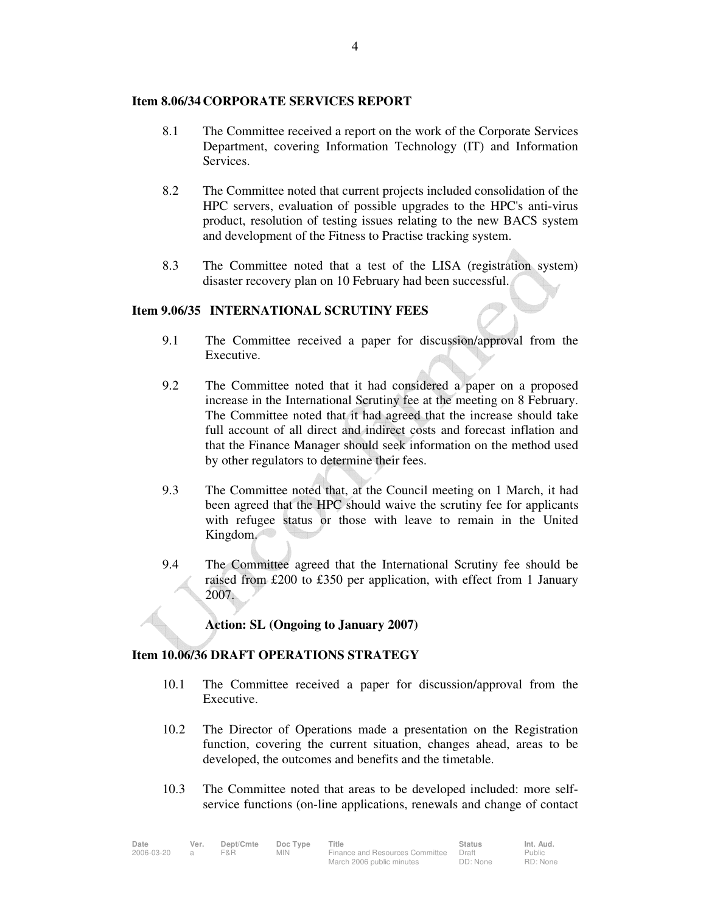### **Item 8.06/34 CORPORATE SERVICES REPORT**

- 8.1 The Committee received a report on the work of the Corporate Services Department, covering Information Technology (IT) and Information **Services**
- 8.2 The Committee noted that current projects included consolidation of the HPC servers, evaluation of possible upgrades to the HPC's anti-virus product, resolution of testing issues relating to the new BACS system and development of the Fitness to Practise tracking system.
- 8.3 The Committee noted that a test of the LISA (registration system) disaster recovery plan on 10 February had been successful.

### **Item 9.06/35 INTERNATIONAL SCRUTINY FEES**

- 9.1 The Committee received a paper for discussion/approval from the Executive.
- 9.2 The Committee noted that it had considered a paper on a proposed increase in the International Scrutiny fee at the meeting on 8 February. The Committee noted that it had agreed that the increase should take full account of all direct and indirect costs and forecast inflation and that the Finance Manager should seek information on the method used by other regulators to determine their fees.
- 9.3 The Committee noted that, at the Council meeting on 1 March, it had been agreed that the HPC should waive the scrutiny fee for applicants with refugee status or those with leave to remain in the United Kingdom.
- 9.4 The Committee agreed that the International Scrutiny fee should be raised from £200 to £350 per application, with effect from 1 January 2007.

### **Action: SL (Ongoing to January 2007)**

### **Item 10.06/36 DRAFT OPERATIONS STRATEGY**

- 10.1 The Committee received a paper for discussion/approval from the Executive.
- 10.2 The Director of Operations made a presentation on the Registration function, covering the current situation, changes ahead, areas to be developed, the outcomes and benefits and the timetable.
- 10.3 The Committee noted that areas to be developed included: more selfservice functions (on-line applications, renewals and change of contact

| Date       | Ver. | Dept/Cmte | Doc Type   | Title                           | <b>Status</b> | Int. Aud. |
|------------|------|-----------|------------|---------------------------------|---------------|-----------|
| 2006-03-20 |      | F&R       | <b>MIN</b> | Finance and Resources Committee | Draft         | Public    |
|            |      |           |            | March 2006 public minutes       | DD: None      | RD: None  |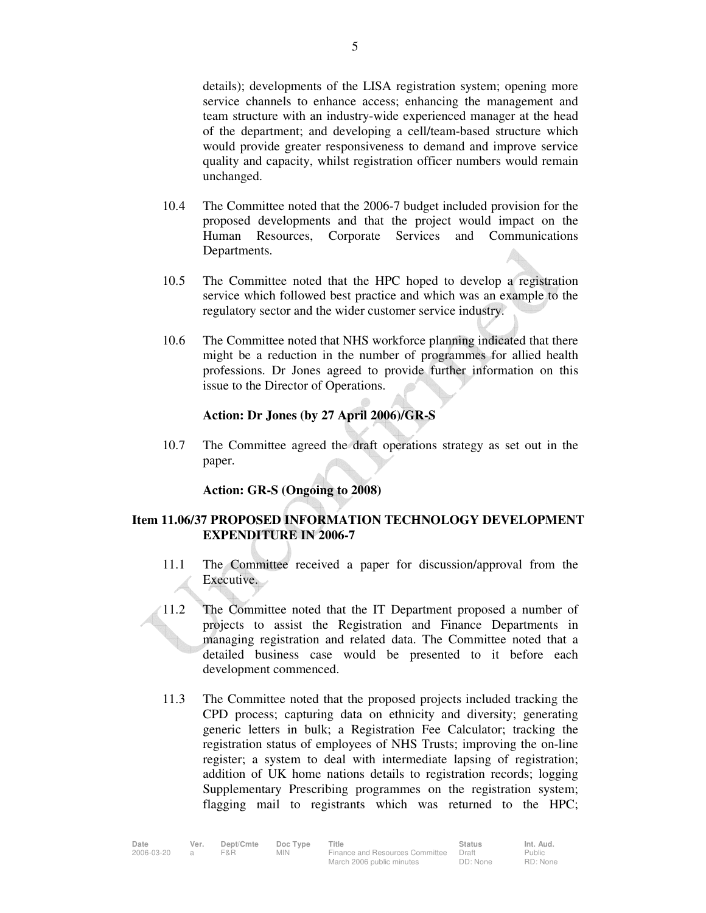details); developments of the LISA registration system; opening more service channels to enhance access; enhancing the management and team structure with an industry-wide experienced manager at the head of the department; and developing a cell/team-based structure which would provide greater responsiveness to demand and improve service quality and capacity, whilst registration officer numbers would remain unchanged.

- 10.4 The Committee noted that the 2006-7 budget included provision for the proposed developments and that the project would impact on the Human Resources, Corporate Services and Communications Departments.
- 10.5 The Committee noted that the HPC hoped to develop a registration service which followed best practice and which was an example to the regulatory sector and the wider customer service industry.
- 10.6 The Committee noted that NHS workforce planning indicated that there might be a reduction in the number of programmes for allied health professions. Dr Jones agreed to provide further information on this issue to the Director of Operations.

## **Action: Dr Jones (by 27 April 2006)/GR-S**

10.7 The Committee agreed the draft operations strategy as set out in the paper.

### **Action: GR-S (Ongoing to 2008)**

## **Item 11.06/37 PROPOSED INFORMATION TECHNOLOGY DEVELOPMENT EXPENDITURE IN 2006-7**

- 11.1 The Committee received a paper for discussion/approval from the Executive.
- 11.2 The Committee noted that the IT Department proposed a number of projects to assist the Registration and Finance Departments in managing registration and related data. The Committee noted that a detailed business case would be presented to it before each development commenced.
- 11.3 The Committee noted that the proposed projects included tracking the CPD process; capturing data on ethnicity and diversity; generating generic letters in bulk; a Registration Fee Calculator; tracking the registration status of employees of NHS Trusts; improving the on-line register; a system to deal with intermediate lapsing of registration; addition of UK home nations details to registration records; logging Supplementary Prescribing programmes on the registration system; flagging mail to registrants which was returned to the HPC;

| Date       | Ver. | Dept/Cmte | Doc Type | Title                           | <b>Status</b> | Int. Aud. |
|------------|------|-----------|----------|---------------------------------|---------------|-----------|
| 2006-03-20 |      | F&R.      | MIN      | Finance and Resources Committee | Draft         | Public    |
|            |      |           |          | March 2006 public minutes       | DD: None      | RD: None  |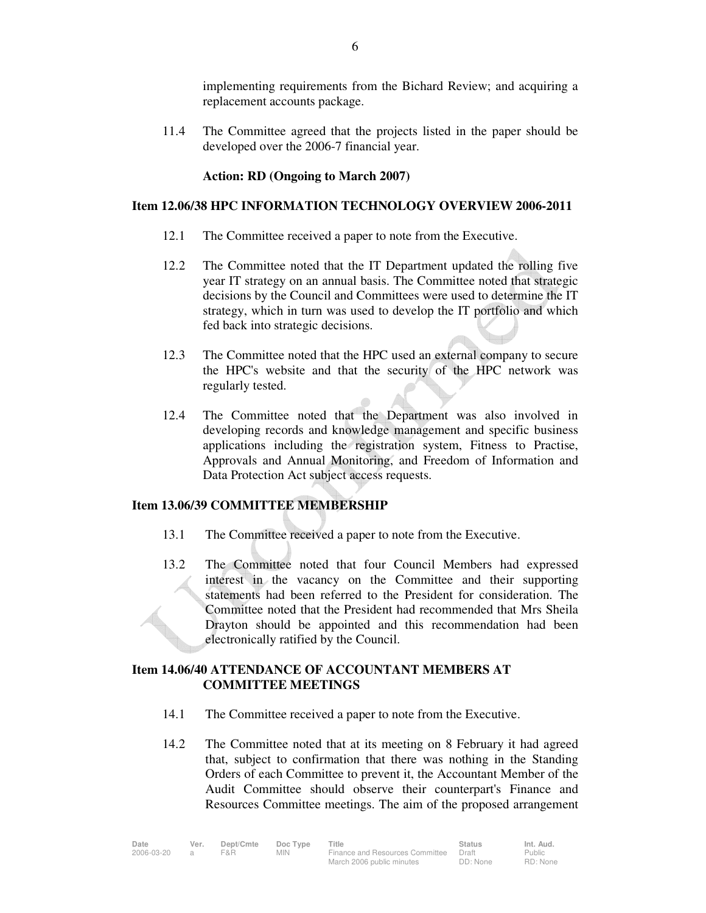implementing requirements from the Bichard Review; and acquiring a replacement accounts package.

11.4 The Committee agreed that the projects listed in the paper should be developed over the 2006-7 financial year.

### **Action: RD (Ongoing to March 2007)**

### **Item 12.06/38 HPC INFORMATION TECHNOLOGY OVERVIEW 2006-2011**

- 12.1 The Committee received a paper to note from the Executive.
- 12.2 The Committee noted that the IT Department updated the rolling five year IT strategy on an annual basis. The Committee noted that strategic decisions by the Council and Committees were used to determine the IT strategy, which in turn was used to develop the IT portfolio and which fed back into strategic decisions.
- 12.3 The Committee noted that the HPC used an external company to secure the HPC's website and that the security of the HPC network was regularly tested.
- 12.4 The Committee noted that the Department was also involved in developing records and knowledge management and specific business applications including the registration system, Fitness to Practise, Approvals and Annual Monitoring, and Freedom of Information and Data Protection Act subject access requests.

### **Item 13.06/39 COMMITTEE MEMBERSHIP**

- 13.1 The Committee received a paper to note from the Executive.
- 13.2 The Committee noted that four Council Members had expressed interest in the vacancy on the Committee and their supporting statements had been referred to the President for consideration. The Committee noted that the President had recommended that Mrs Sheila Drayton should be appointed and this recommendation had been electronically ratified by the Council.

## **Item 14.06/40 ATTENDANCE OF ACCOUNTANT MEMBERS AT COMMITTEE MEETINGS**

- 14.1 The Committee received a paper to note from the Executive.
- 14.2 The Committee noted that at its meeting on 8 February it had agreed that, subject to confirmation that there was nothing in the Standing Orders of each Committee to prevent it, the Accountant Member of the Audit Committee should observe their counterpart's Finance and Resources Committee meetings. The aim of the proposed arrangement

| Date       | Ver. | Dept/Cmte | Doc Type | Title                           | <b>Status</b> | Int. Aud. |
|------------|------|-----------|----------|---------------------------------|---------------|-----------|
| 2006-03-20 |      | F&R.      | MIN.     | Finance and Resources Committee | Draft         | Public    |
|            |      |           |          | March 2006 public minutes       | DD: None      | RD: None  |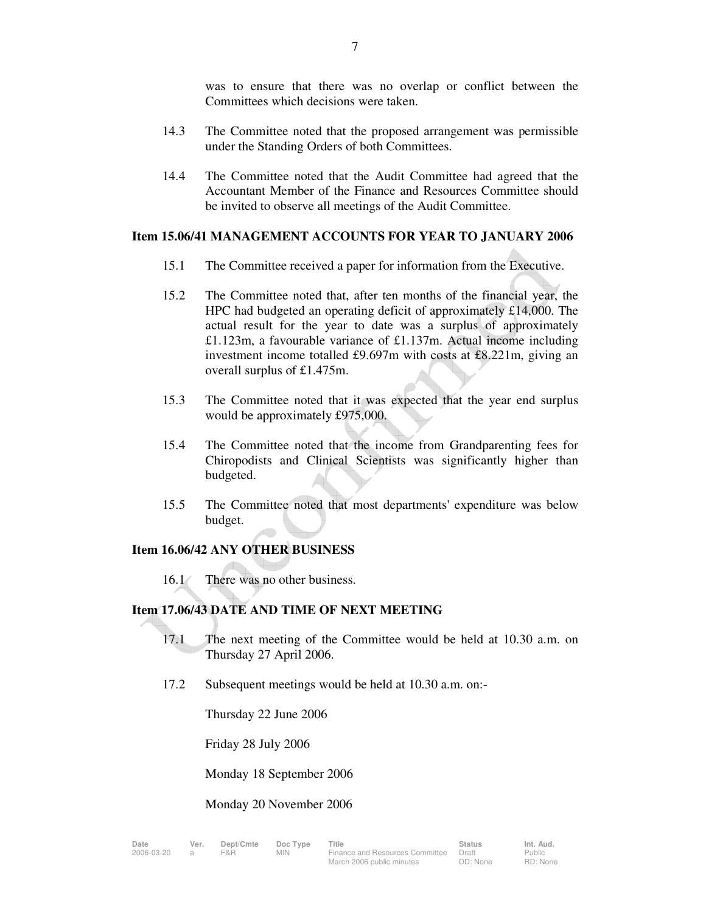was to ensure that there was no overlap or conflict between the Committees which decisions were taken.

- 14.3 The Committee noted that the proposed arrangement was permissible under the Standing Orders of both Committees.
- 14.4 The Committee noted that the Audit Committee had agreed that the Accountant Member of the Finance and Resources Committee should be invited to observe all meetings of the Audit Committee.

### **Item 15.06/41 MANAGEMENT ACCOUNTS FOR YEAR TO JANUARY 2006**

- 15.1 The Committee received a paper for information from the Executive.
- 15.2 The Committee noted that, after ten months of the financial year, the HPC had budgeted an operating deficit of approximately £14,000. The actual result for the year to date was a surplus of approximately £1.123m, a favourable variance of £1.137m. Actual income including investment income totalled £9.697m with costs at £8.221m, giving an overall surplus of £1.475m.
- 15.3 The Committee noted that it was expected that the year end surplus would be approximately £975,000.
- 15.4 The Committee noted that the income from Grandparenting fees for Chiropodists and Clinical Scientists was significantly higher than budgeted.
- 15.5 The Committee noted that most departments' expenditure was below budget.

### **Item 16.06/42 ANY OTHER BUSINESS**

16.1 There was no other business.

### **Item 17.06/43 DATE AND TIME OF NEXT MEETING**

- 17.1 The next meeting of the Committee would be held at 10.30 a.m. on Thursday 27 April 2006.
- 17.2 Subsequent meetings would be held at 10.30 a.m. on:-

Thursday 22 June 2006

Friday 28 July 2006

Monday 18 September 2006

#### Monday 20 November 2006

| te       | Ver. |
|----------|------|
| 06-03-20 |      |

Public RD: None